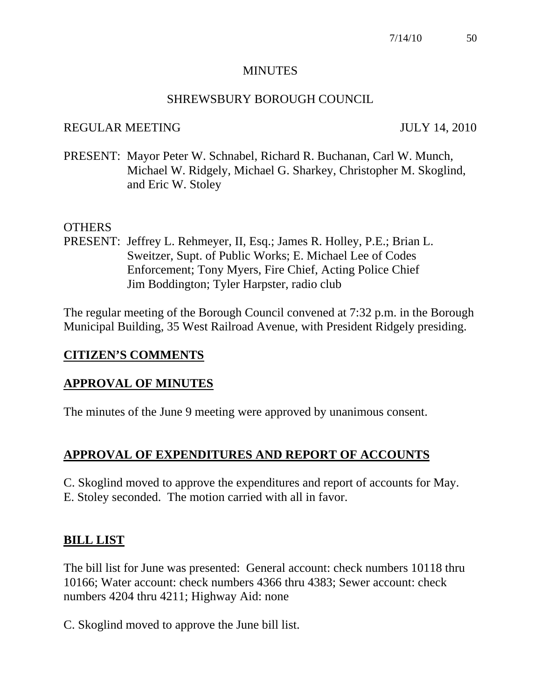### MINUTES

#### SHREWSBURY BOROUGH COUNCIL

#### REGULAR MEETING JULY 14, 2010

PRESENT: Mayor Peter W. Schnabel, Richard R. Buchanan, Carl W. Munch, Michael W. Ridgely, Michael G. Sharkey, Christopher M. Skoglind, and Eric W. Stoley

#### OTHERS

PRESENT: Jeffrey L. Rehmeyer, II, Esq.; James R. Holley, P.E.; Brian L. Sweitzer, Supt. of Public Works; E. Michael Lee of Codes Enforcement; Tony Myers, Fire Chief, Acting Police Chief Jim Boddington; Tyler Harpster, radio club

The regular meeting of the Borough Council convened at 7:32 p.m. in the Borough Municipal Building, 35 West Railroad Avenue, with President Ridgely presiding.

### **CITIZEN'S COMMENTS**

### **APPROVAL OF MINUTES**

The minutes of the June 9 meeting were approved by unanimous consent.

# **APPROVAL OF EXPENDITURES AND REPORT OF ACCOUNTS**

C. Skoglind moved to approve the expenditures and report of accounts for May. E. Stoley seconded. The motion carried with all in favor.

### **BILL LIST**

The bill list for June was presented: General account: check numbers 10118 thru 10166; Water account: check numbers 4366 thru 4383; Sewer account: check numbers 4204 thru 4211; Highway Aid: none

C. Skoglind moved to approve the June bill list.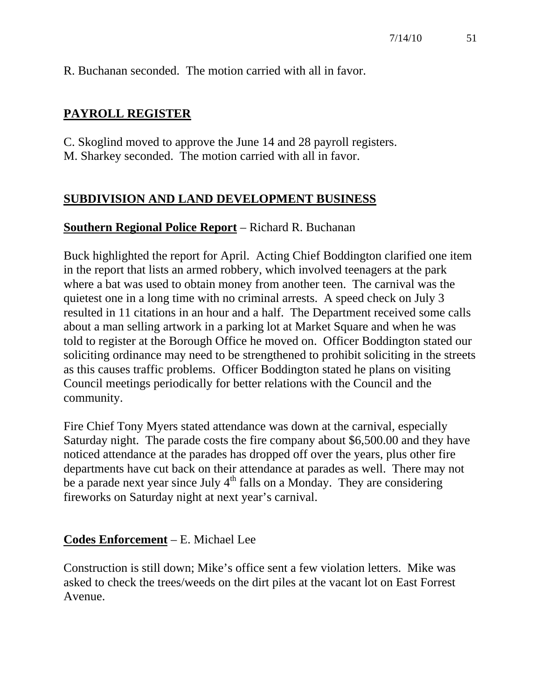R. Buchanan seconded. The motion carried with all in favor.

### **PAYROLL REGISTER**

- C. Skoglind moved to approve the June 14 and 28 payroll registers.
- M. Sharkey seconded. The motion carried with all in favor.

### **SUBDIVISION AND LAND DEVELOPMENT BUSINESS**

### **Southern Regional Police Report** – Richard R. Buchanan

Buck highlighted the report for April. Acting Chief Boddington clarified one item in the report that lists an armed robbery, which involved teenagers at the park where a bat was used to obtain money from another teen. The carnival was the quietest one in a long time with no criminal arrests. A speed check on July 3 resulted in 11 citations in an hour and a half. The Department received some calls about a man selling artwork in a parking lot at Market Square and when he was told to register at the Borough Office he moved on. Officer Boddington stated our soliciting ordinance may need to be strengthened to prohibit soliciting in the streets as this causes traffic problems. Officer Boddington stated he plans on visiting Council meetings periodically for better relations with the Council and the community.

Fire Chief Tony Myers stated attendance was down at the carnival, especially Saturday night. The parade costs the fire company about \$6,500.00 and they have noticed attendance at the parades has dropped off over the years, plus other fire departments have cut back on their attendance at parades as well. There may not be a parade next year since July  $4<sup>th</sup>$  falls on a Monday. They are considering fireworks on Saturday night at next year's carnival.

### **Codes Enforcement** – E. Michael Lee

Construction is still down; Mike's office sent a few violation letters. Mike was asked to check the trees/weeds on the dirt piles at the vacant lot on East Forrest Avenue.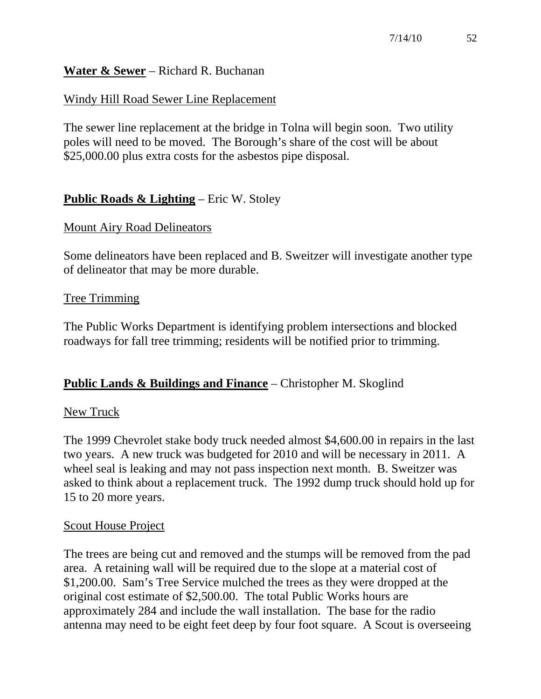### **Water & Sewer** – Richard R. Buchanan

### Windy Hill Road Sewer Line Replacement

The sewer line replacement at the bridge in Tolna will begin soon. Two utility poles will need to be moved. The Borough's share of the cost will be about \$25,000.00 plus extra costs for the asbestos pipe disposal.

# **Public Roads & Lighting** – Eric W. Stoley

### Mount Airy Road Delineators

Some delineators have been replaced and B. Sweitzer will investigate another type of delineator that may be more durable.

#### Tree Trimming

The Public Works Department is identifying problem intersections and blocked roadways for fall tree trimming; residents will be notified prior to trimming.

### **Public Lands & Buildings and Finance** – Christopher M. Skoglind

#### New Truck

The 1999 Chevrolet stake body truck needed almost \$4,600.00 in repairs in the last two years. A new truck was budgeted for 2010 and will be necessary in 2011. A wheel seal is leaking and may not pass inspection next month. B. Sweitzer was asked to think about a replacement truck. The 1992 dump truck should hold up for 15 to 20 more years.

#### Scout House Project

The trees are being cut and removed and the stumps will be removed from the pad area. A retaining wall will be required due to the slope at a material cost of \$1,200.00. Sam's Tree Service mulched the trees as they were dropped at the original cost estimate of \$2,500.00. The total Public Works hours are approximately 284 and include the wall installation. The base for the radio antenna may need to be eight feet deep by four foot square. A Scout is overseeing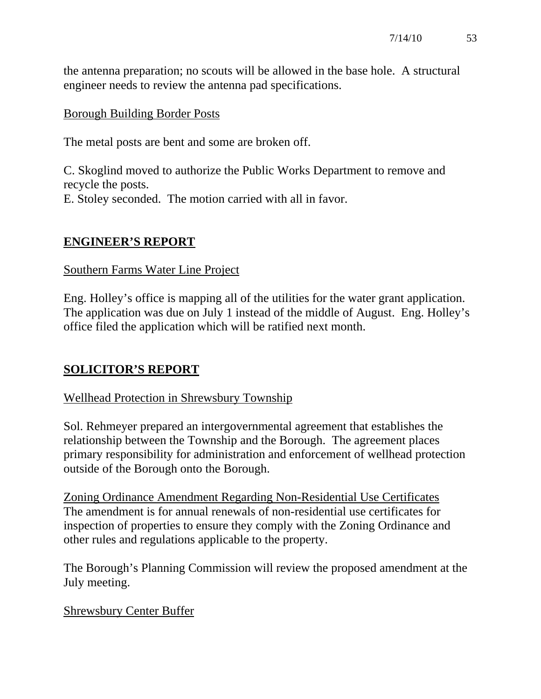the antenna preparation; no scouts will be allowed in the base hole. A structural engineer needs to review the antenna pad specifications.

### Borough Building Border Posts

The metal posts are bent and some are broken off.

C. Skoglind moved to authorize the Public Works Department to remove and recycle the posts. E. Stoley seconded. The motion carried with all in favor.

### **ENGINEER'S REPORT**

### Southern Farms Water Line Project

Eng. Holley's office is mapping all of the utilities for the water grant application. The application was due on July 1 instead of the middle of August. Eng. Holley's office filed the application which will be ratified next month.

# **SOLICITOR'S REPORT**

# Wellhead Protection in Shrewsbury Township

Sol. Rehmeyer prepared an intergovernmental agreement that establishes the relationship between the Township and the Borough. The agreement places primary responsibility for administration and enforcement of wellhead protection outside of the Borough onto the Borough.

Zoning Ordinance Amendment Regarding Non-Residential Use Certificates The amendment is for annual renewals of non-residential use certificates for inspection of properties to ensure they comply with the Zoning Ordinance and other rules and regulations applicable to the property.

The Borough's Planning Commission will review the proposed amendment at the July meeting.

# Shrewsbury Center Buffer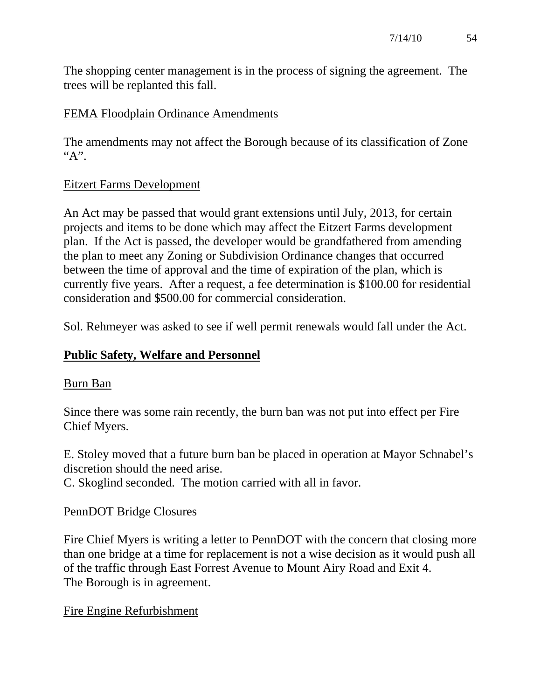The shopping center management is in the process of signing the agreement. The trees will be replanted this fall.

### FEMA Floodplain Ordinance Amendments

The amendments may not affect the Borough because of its classification of Zone  $A$ ".

### Eitzert Farms Development

An Act may be passed that would grant extensions until July, 2013, for certain projects and items to be done which may affect the Eitzert Farms development plan. If the Act is passed, the developer would be grandfathered from amending the plan to meet any Zoning or Subdivision Ordinance changes that occurred between the time of approval and the time of expiration of the plan, which is currently five years. After a request, a fee determination is \$100.00 for residential consideration and \$500.00 for commercial consideration.

Sol. Rehmeyer was asked to see if well permit renewals would fall under the Act.

# **Public Safety, Welfare and Personnel**

### Burn Ban

Since there was some rain recently, the burn ban was not put into effect per Fire Chief Myers.

E. Stoley moved that a future burn ban be placed in operation at Mayor Schnabel's discretion should the need arise.

C. Skoglind seconded. The motion carried with all in favor.

# PennDOT Bridge Closures

Fire Chief Myers is writing a letter to PennDOT with the concern that closing more than one bridge at a time for replacement is not a wise decision as it would push all of the traffic through East Forrest Avenue to Mount Airy Road and Exit 4. The Borough is in agreement.

### Fire Engine Refurbishment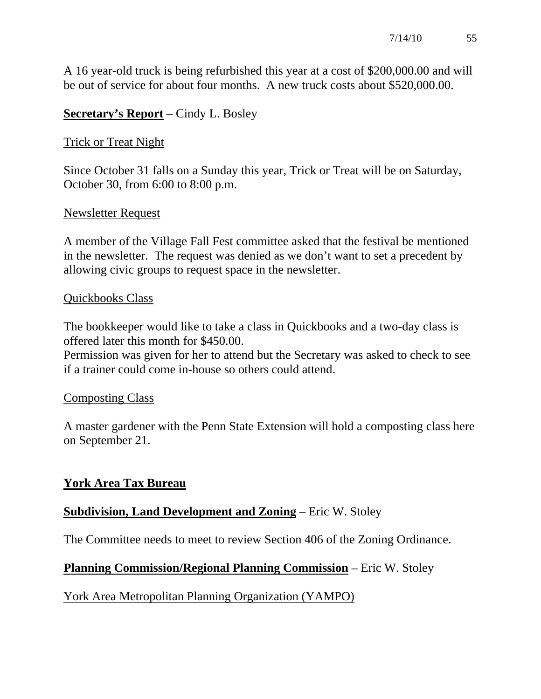A 16 year-old truck is being refurbished this year at a cost of \$200,000.00 and will be out of service for about four months. A new truck costs about \$520,000.00.

### **Secretary's Report** – Cindy L. Bosley

### Trick or Treat Night

Since October 31 falls on a Sunday this year, Trick or Treat will be on Saturday, October 30, from 6:00 to 8:00 p.m.

### Newsletter Request

A member of the Village Fall Fest committee asked that the festival be mentioned in the newsletter. The request was denied as we don't want to set a precedent by allowing civic groups to request space in the newsletter.

### Quickbooks Class

The bookkeeper would like to take a class in Quickbooks and a two-day class is offered later this month for \$450.00.

Permission was given for her to attend but the Secretary was asked to check to see if a trainer could come in-house so others could attend.

### Composting Class

A master gardener with the Penn State Extension will hold a composting class here on September 21.

# **York Area Tax Bureau**

# **Subdivision, Land Development and Zoning** – Eric W. Stoley

The Committee needs to meet to review Section 406 of the Zoning Ordinance.

# **Planning Commission/Regional Planning Commission** – Eric W. Stoley

York Area Metropolitan Planning Organization (YAMPO)